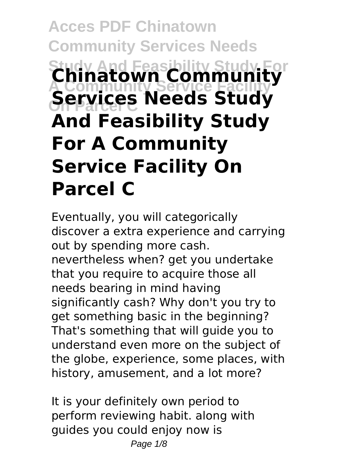# **Acces PDF Chinatown Community Services Needs Study And Feasibility Study For Chinatown Community A Community Service Facility Services Needs Study And Feasibility Study For A Community Service Facility On Parcel C**

Eventually, you will categorically discover a extra experience and carrying out by spending more cash. nevertheless when? get you undertake that you require to acquire those all needs bearing in mind having significantly cash? Why don't you try to get something basic in the beginning? That's something that will guide you to understand even more on the subject of the globe, experience, some places, with history, amusement, and a lot more?

It is your definitely own period to perform reviewing habit. along with guides you could enjoy now is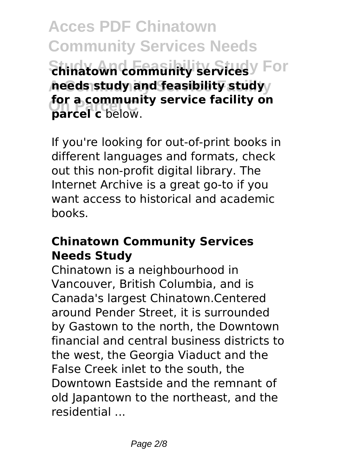**Acces PDF Chinatown Community Services Needs Shinatown community services**y For **A Community Service Facility needs study and feasibility study For a community for a community service facility on**

If you're looking for out-of-print books in different languages and formats, check out this non-profit digital library. The Internet Archive is a great go-to if you want access to historical and academic books.

#### **Chinatown Community Services Needs Study**

Chinatown is a neighbourhood in Vancouver, British Columbia, and is Canada's largest Chinatown.Centered around Pender Street, it is surrounded by Gastown to the north, the Downtown financial and central business districts to the west, the Georgia Viaduct and the False Creek inlet to the south, the Downtown Eastside and the remnant of old Japantown to the northeast, and the residential ...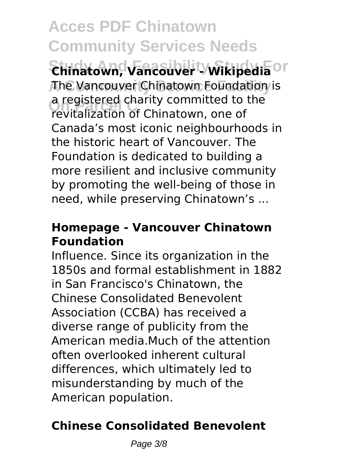**Acces PDF Chinatown Community Services Needs Study And Feasibility Study For Chinatown, Vancouver - Wikipedia A Community Service Facility** The Vancouver Chinatown Foundation is **On Parcel C** revitalization of Chinatown, one of a registered charity committed to the Canada's most iconic neighbourhoods in the historic heart of Vancouver. The Foundation is dedicated to building a more resilient and inclusive community by promoting the well-being of those in need, while preserving Chinatown's ...

#### **Homepage - Vancouver Chinatown Foundation**

Influence. Since its organization in the 1850s and formal establishment in 1882 in San Francisco's Chinatown, the Chinese Consolidated Benevolent Association (CCBA) has received a diverse range of publicity from the American media.Much of the attention often overlooked inherent cultural differences, which ultimately led to misunderstanding by much of the American population.

#### **Chinese Consolidated Benevolent**

Page 3/8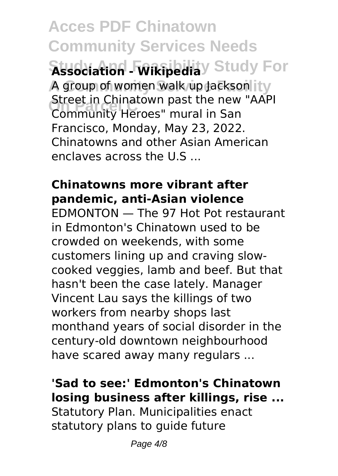**Acces PDF Chinatown Community Services Needs Association - Wikipedia**y Study For A group of women walk up Jackson it y Street in Chinatown past the new<br>Community Heroes" mural in San Street in Chinatown past the new "AAPI Francisco, Monday, May 23, 2022. Chinatowns and other Asian American enclaves across the U.S ...

#### **Chinatowns more vibrant after pandemic, anti-Asian violence**

EDMONTON — The 97 Hot Pot restaurant in Edmonton's Chinatown used to be crowded on weekends, with some customers lining up and craving slowcooked veggies, lamb and beef. But that hasn't been the case lately. Manager Vincent Lau says the killings of two workers from nearby shops last monthand years of social disorder in the century-old downtown neighbourhood have scared away many regulars ...

#### **'Sad to see:' Edmonton's Chinatown losing business after killings, rise ...**

Statutory Plan. Municipalities enact statutory plans to quide future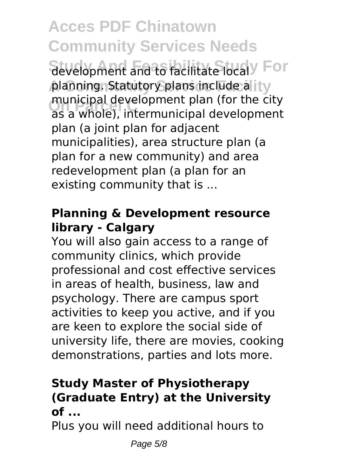## **Acces PDF Chinatown Community Services Needs**

development and to facilitate local<sup>y</sup> For planning. Statutory plans include a ity **On Parcel C** as a whole), intermunicipal development municipal development plan (for the city plan (a joint plan for adjacent municipalities), area structure plan (a plan for a new community) and area redevelopment plan (a plan for an existing community that is ...

#### **Planning & Development resource library - Calgary**

You will also gain access to a range of community clinics, which provide professional and cost effective services in areas of health, business, law and psychology. There are campus sport activities to keep you active, and if you are keen to explore the social side of university life, there are movies, cooking demonstrations, parties and lots more.

#### **Study Master of Physiotherapy (Graduate Entry) at the University of ...**

Plus you will need additional hours to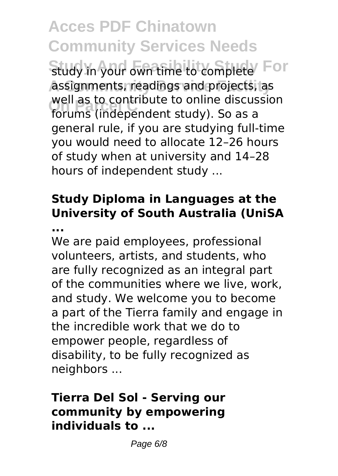**Acces PDF Chinatown Community Services Needs** Study in your own time to complete **For A Community Service Facility** assignments, readings and projects, as **Well as to contribute to online discus**<br>forums (independent study). So as a well as to contribute to online discussion general rule, if you are studying full-time you would need to allocate 12–26 hours of study when at university and 14–28 hours of independent study ...

### **Study Diploma in Languages at the University of South Australia (UniSA**

**...**

We are paid employees, professional volunteers, artists, and students, who are fully recognized as an integral part of the communities where we live, work, and study. We welcome you to become a part of the Tierra family and engage in the incredible work that we do to empower people, regardless of disability, to be fully recognized as neighbors ...

#### **Tierra Del Sol - Serving our community by empowering individuals to ...**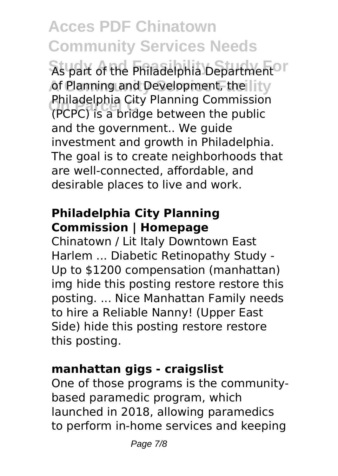### **Acces PDF Chinatown Community Services Needs**

As part of the Philadelphia Department<sup>OT</sup> of Planning and Development, the lity **On Parcel C** (PCPC) is a bridge between the public Philadelphia City Planning Commission and the government.. We guide investment and growth in Philadelphia. The goal is to create neighborhoods that are well-connected, affordable, and desirable places to live and work.

#### **Philadelphia City Planning Commission | Homepage**

Chinatown / Lit Italy Downtown East Harlem ... Diabetic Retinopathy Study - Up to \$1200 compensation (manhattan) img hide this posting restore restore this posting. ... Nice Manhattan Family needs to hire a Reliable Nanny! (Upper East Side) hide this posting restore restore this posting.

#### **manhattan gigs - craigslist**

One of those programs is the communitybased paramedic program, which launched in 2018, allowing paramedics to perform in-home services and keeping